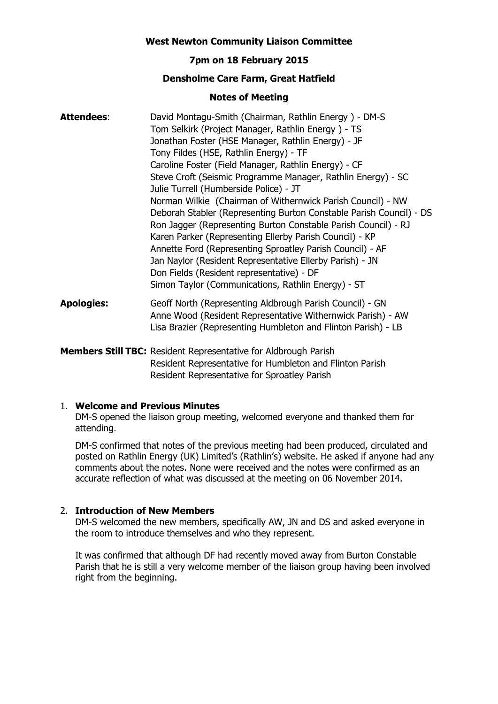### **West Newton Community Liaison Committee**

# **7pm on 18 February 2015**

# **Densholme Care Farm, Great Hatfield**

#### **Notes of Meeting**

| <b>Attendees:</b> | David Montagu-Smith (Chairman, Rathlin Energy) - DM-S                                                                                                                                                |
|-------------------|------------------------------------------------------------------------------------------------------------------------------------------------------------------------------------------------------|
|                   | Tom Selkirk (Project Manager, Rathlin Energy) - TS                                                                                                                                                   |
|                   | Jonathan Foster (HSE Manager, Rathlin Energy) - JF                                                                                                                                                   |
|                   | Tony Fildes (HSE, Rathlin Energy) - TF                                                                                                                                                               |
|                   | Caroline Foster (Field Manager, Rathlin Energy) - CF                                                                                                                                                 |
|                   | Steve Croft (Seismic Programme Manager, Rathlin Energy) - SC                                                                                                                                         |
|                   | Julie Turrell (Humberside Police) - JT                                                                                                                                                               |
|                   | Norman Wilkie (Chairman of Withernwick Parish Council) - NW<br>Deborah Stabler (Representing Burton Constable Parish Council) - DS<br>Ron Jagger (Representing Burton Constable Parish Council) - RJ |
|                   | Karen Parker (Representing Ellerby Parish Council) - KP                                                                                                                                              |
|                   | Annette Ford (Representing Sproatley Parish Council) - AF                                                                                                                                            |
|                   | Jan Naylor (Resident Representative Ellerby Parish) - JN                                                                                                                                             |
|                   | Don Fields (Resident representative) - DF                                                                                                                                                            |
|                   | Simon Taylor (Communications, Rathlin Energy) - ST                                                                                                                                                   |
| <b>Apologies:</b> | Geoff North (Representing Aldbrough Parish Council) - GN<br>Anne Wood (Resident Representative Withernwick Parish) - AW<br>Lisa Brazier (Representing Humbleton and Flinton Parish) - LB             |
|                   |                                                                                                                                                                                                      |

**Members Still TBC:** Resident Representative for Aldbrough Parish Resident Representative for Humbleton and Flinton Parish Resident Representative for Sproatley Parish

#### 1. **Welcome and Previous Minutes**

DM-S opened the liaison group meeting, welcomed everyone and thanked them for attending.

DM-S confirmed that notes of the previous meeting had been produced, circulated and posted on Rathlin Energy (UK) Limited's (Rathlin's) website. He asked if anyone had any comments about the notes. None were received and the notes were confirmed as an accurate reflection of what was discussed at the meeting on 06 November 2014.

#### 2. **Introduction of New Members**

DM-S welcomed the new members, specifically AW, JN and DS and asked everyone in the room to introduce themselves and who they represent.

It was confirmed that although DF had recently moved away from Burton Constable Parish that he is still a very welcome member of the liaison group having been involved right from the beginning.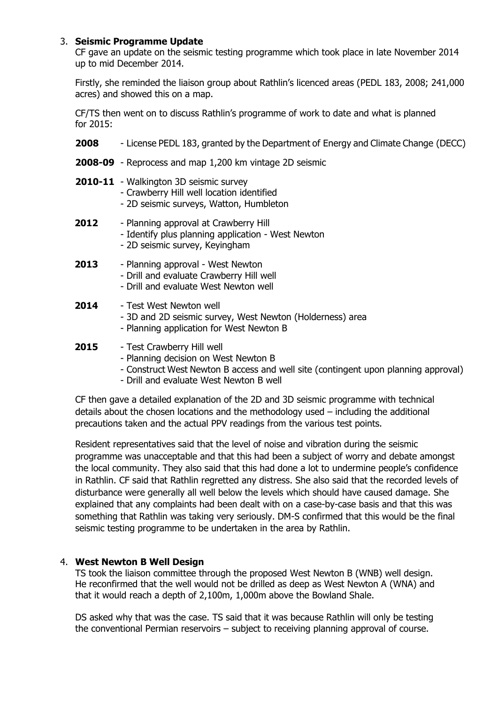## 3. **Seismic Programme Update**

CF gave an update on the seismic testing programme which took place in late November 2014 up to mid December 2014.

Firstly, she reminded the liaison group about Rathlin's licenced areas (PEDL 183, 2008; 241,000 acres) and showed this on a map.

CF/TS then went on to discuss Rathlin's programme of work to date and what is planned for 2015:

- **2008** License PEDL 183, granted by the Department of Energy and Climate Change (DECC)
- **2008-09** Reprocess and map 1,200 km vintage 2D seismic
- **2010-11** Walkington 3D seismic survey
	- Crawberry Hill well location identified
	- 2D seismic surveys, Watton, Humbleton
- **2012** Planning approval at Crawberry Hill - Identify plus planning application - West Newton - 2D seismic survey, Keyingham

 **2013** - Planning approval - West Newton - Drill and evaluate Crawberry Hill well - Drill and evaluate West Newton well

# **2014** - Test West Newton well

- 3D and 2D seismic survey, West Newton (Holderness) area
- Planning application for West Newton B

# **2015** - Test Crawberry Hill well

- Planning decision on West Newton B
- Construct West Newton B access and well site (contingent upon planning approval)
- Drill and evaluate West Newton B well

CF then gave a detailed explanation of the 2D and 3D seismic programme with technical details about the chosen locations and the methodology used – including the additional precautions taken and the actual PPV readings from the various test points.

Resident representatives said that the level of noise and vibration during the seismic programme was unacceptable and that this had been a subject of worry and debate amongst the local community. They also said that this had done a lot to undermine people's confidence in Rathlin. CF said that Rathlin regretted any distress. She also said that the recorded levels of disturbance were generally all well below the levels which should have caused damage. She explained that any complaints had been dealt with on a case-by-case basis and that this was something that Rathlin was taking very seriously. DM-S confirmed that this would be the final seismic testing programme to be undertaken in the area by Rathlin.

#### 4. **West Newton B Well Design**

TS took the liaison committee through the proposed West Newton B (WNB) well design. He reconfirmed that the well would not be drilled as deep as West Newton A (WNA) and that it would reach a depth of 2,100m, 1,000m above the Bowland Shale.

DS asked why that was the case. TS said that it was because Rathlin will only be testing the conventional Permian reservoirs – subject to receiving planning approval of course.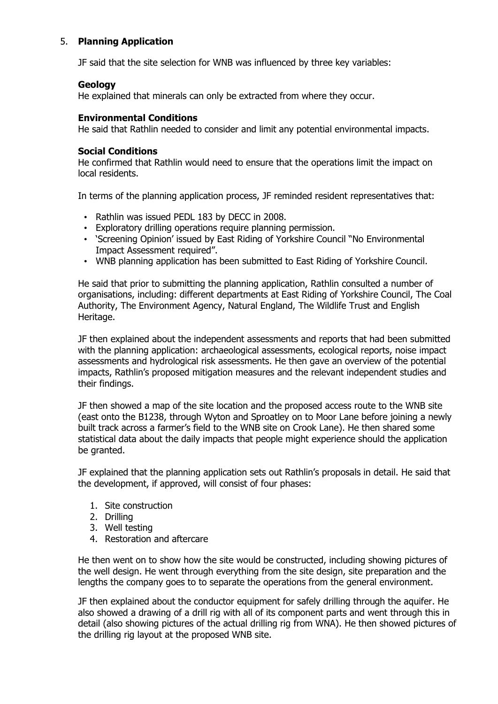# 5. **Planning Application**

JF said that the site selection for WNB was influenced by three key variables:

### **Geology**

He explained that minerals can only be extracted from where they occur.

## **Environmental Conditions**

He said that Rathlin needed to consider and limit any potential environmental impacts.

### **Social Conditions**

He confirmed that Rathlin would need to ensure that the operations limit the impact on local residents.

In terms of the planning application process, JF reminded resident representatives that:

- Rathlin was issued PEDL 183 by DECC in 2008.
- Exploratory drilling operations require planning permission.
- 'Screening Opinion' issued by East Riding of Yorkshire Council "No Environmental Impact Assessment required".
- WNB planning application has been submitted to East Riding of Yorkshire Council.

He said that prior to submitting the planning application, Rathlin consulted a number of organisations, including: different departments at East Riding of Yorkshire Council, The Coal Authority, The Environment Agency, Natural England, The Wildlife Trust and English Heritage.

JF then explained about the independent assessments and reports that had been submitted with the planning application: archaeological assessments, ecological reports, noise impact assessments and hydrological risk assessments. He then gave an overview of the potential impacts, Rathlin's proposed mitigation measures and the relevant independent studies and their findings.

JF then showed a map of the site location and the proposed access route to the WNB site (east onto the B1238, through Wyton and Sproatley on to Moor Lane before joining a newly built track across a farmer's field to the WNB site on Crook Lane). He then shared some statistical data about the daily impacts that people might experience should the application be granted.

JF explained that the planning application sets out Rathlin's proposals in detail. He said that the development, if approved, will consist of four phases:

- 1. Site construction
- 2. Drilling
- 3. Well testing
- 4. Restoration and aftercare

He then went on to show how the site would be constructed, including showing pictures of the well design. He went through everything from the site design, site preparation and the lengths the company goes to to separate the operations from the general environment.

JF then explained about the conductor equipment for safely drilling through the aquifer. He also showed a drawing of a drill rig with all of its component parts and went through this in detail (also showing pictures of the actual drilling rig from WNA). He then showed pictures of the drilling rig layout at the proposed WNB site.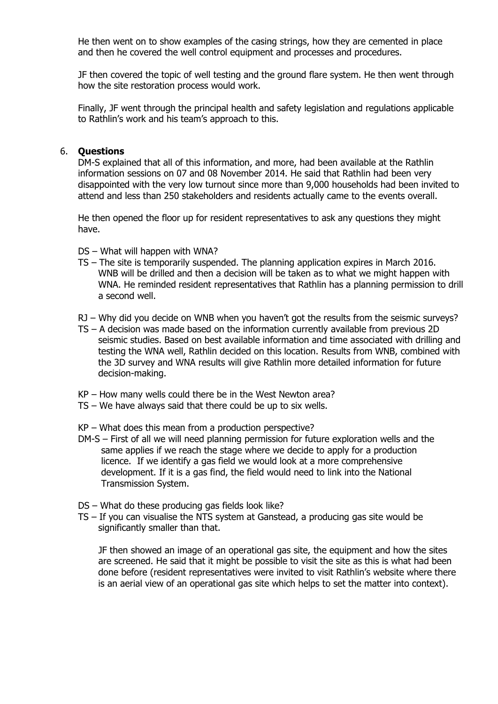He then went on to show examples of the casing strings, how they are cemented in place and then he covered the well control equipment and processes and procedures.

JF then covered the topic of well testing and the ground flare system. He then went through how the site restoration process would work.

Finally, JF went through the principal health and safety legislation and regulations applicable to Rathlin's work and his team's approach to this.

#### 6. **Questions**

DM-S explained that all of this information, and more, had been available at the Rathlin information sessions on 07 and 08 November 2014. He said that Rathlin had been very disappointed with the very low turnout since more than 9,000 households had been invited to attend and less than 250 stakeholders and residents actually came to the events overall.

He then opened the floor up for resident representatives to ask any questions they might have.

- DS What will happen with WNA?
- TS The site is temporarily suspended. The planning application expires in March 2016. WNB will be drilled and then a decision will be taken as to what we might happen with WNA. He reminded resident representatives that Rathlin has a planning permission to drill a second well.
- RJ Why did you decide on WNB when you haven't got the results from the seismic surveys?
- TS A decision was made based on the information currently available from previous 2D seismic studies. Based on best available information and time associated with drilling and testing the WNA well, Rathlin decided on this location. Results from WNB, combined with the 3D survey and WNA results will give Rathlin more detailed information for future decision-making.
- KP How many wells could there be in the West Newton area?
- TS We have always said that there could be up to six wells.
- KP What does this mean from a production perspective?
- DM-S First of all we will need planning permission for future exploration wells and the same applies if we reach the stage where we decide to apply for a production licence. If we identify a gas field we would look at a more comprehensive development. If it is a gas find, the field would need to link into the National Transmission System.
- DS What do these producing gas fields look like?
- TS If you can visualise the NTS system at Ganstead, a producing gas site would be significantly smaller than that.

 JF then showed an image of an operational gas site, the equipment and how the sites are screened. He said that it might be possible to visit the site as this is what had been done before (resident representatives were invited to visit Rathlin's website where there is an aerial view of an operational gas site which helps to set the matter into context).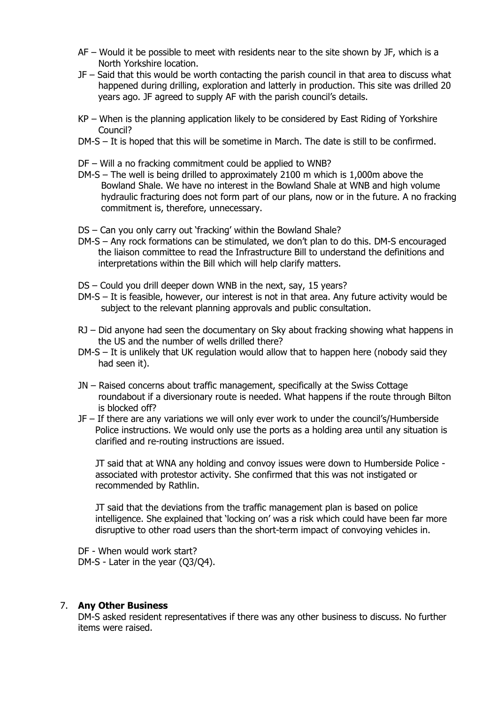- AF Would it be possible to meet with residents near to the site shown by JF, which is a North Yorkshire location.
- JF Said that this would be worth contacting the parish council in that area to discuss what happened during drilling, exploration and latterly in production. This site was drilled 20 years ago. JF agreed to supply AF with the parish council's details.
- KP When is the planning application likely to be considered by East Riding of Yorkshire Council?
- DM-S It is hoped that this will be sometime in March. The date is still to be confirmed.
- DF Will a no fracking commitment could be applied to WNB?
- DM-S The well is being drilled to approximately 2100 m which is 1,000m above the Bowland Shale. We have no interest in the Bowland Shale at WNB and high volume hydraulic fracturing does not form part of our plans, now or in the future. A no fracking commitment is, therefore, unnecessary.
- DS Can you only carry out 'fracking' within the Bowland Shale?
- DM-S Any rock formations can be stimulated, we don't plan to do this. DM-S encouraged the liaison committee to read the Infrastructure Bill to understand the definitions and interpretations within the Bill which will help clarify matters.
- DS Could you drill deeper down WNB in the next, say, 15 years?
- DM-S It is feasible, however, our interest is not in that area. Any future activity would be subject to the relevant planning approvals and public consultation.
- RJ Did anyone had seen the documentary on Sky about fracking showing what happens in the US and the number of wells drilled there?
- DM-S It is unlikely that UK regulation would allow that to happen here (nobody said they had seen it).
- JN Raised concerns about traffic management, specifically at the Swiss Cottage roundabout if a diversionary route is needed. What happens if the route through Bilton is blocked off?
- JF If there are any variations we will only ever work to under the council's/Humberside Police instructions. We would only use the ports as a holding area until any situation is clarified and re-routing instructions are issued.

 JT said that at WNA any holding and convoy issues were down to Humberside Police associated with protestor activity. She confirmed that this was not instigated or recommended by Rathlin.

 JT said that the deviations from the traffic management plan is based on police intelligence. She explained that 'locking on' was a risk which could have been far more disruptive to other road users than the short-term impact of convoying vehicles in.

DF - When would work start? DM-S - Later in the year (Q3/Q4).

#### 7. **Any Other Business**

DM-S asked resident representatives if there was any other business to discuss. No further items were raised.